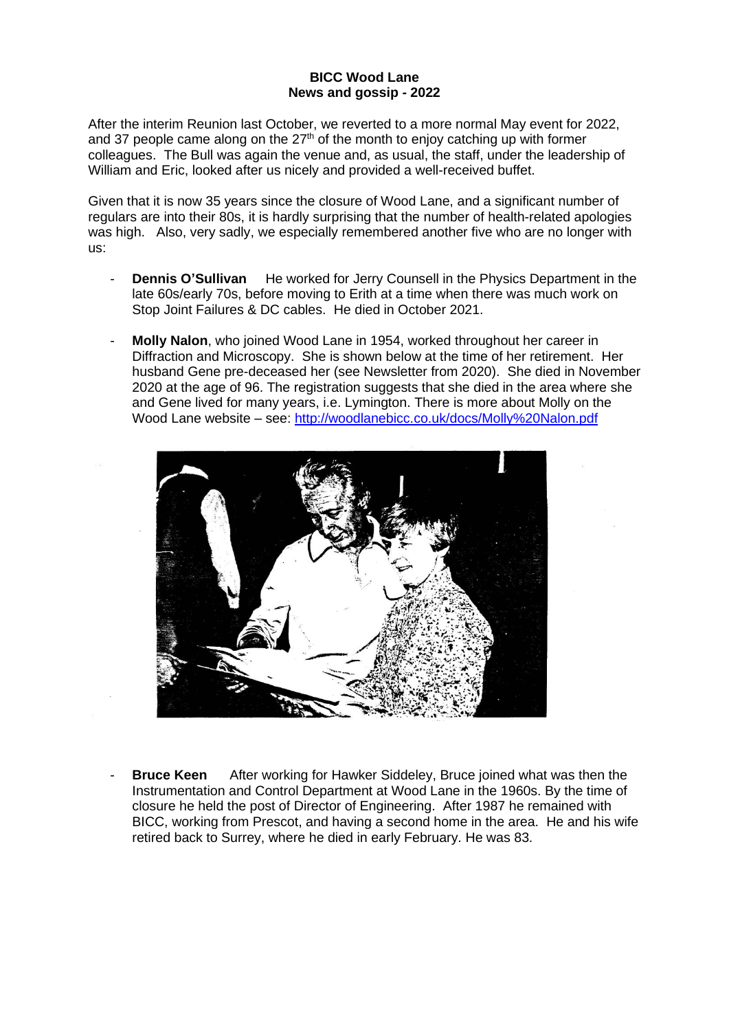## **BICC Wood Lane News and gossip - 2022**

After the interim Reunion last October, we reverted to a more normal May event for 2022, and 37 people came along on the  $27<sup>th</sup>$  of the month to enjoy catching up with former colleagues. The Bull was again the venue and, as usual, the staff, under the leadership of William and Eric, looked after us nicely and provided a well-received buffet.

Given that it is now 35 years since the closure of Wood Lane, and a significant number of regulars are into their 80s, it is hardly surprising that the number of health-related apologies was high. Also, very sadly, we especially remembered another five who are no longer with us:

- **Dennis O'Sullivan** He worked for Jerry Counsell in the Physics Department in the late 60s/early 70s, before moving to Erith at a time when there was much work on Stop Joint Failures & DC cables. He died in October 2021.
- **Molly Nalon**, who joined Wood Lane in 1954, worked throughout her career in Diffraction and Microscopy. She is shown below at the time of her retirement. Her husband Gene pre-deceased her (see Newsletter from 2020). She died in November 2020 at the age of 96. The registration suggests that she died in the area where she and Gene lived for many years, i.e. Lymington. There is more about Molly on the Wood Lane website – see: <http://woodlanebicc.co.uk/docs/Molly%20Nalon.pdf>



**Bruce Keen** After working for Hawker Siddeley, Bruce joined what was then the Instrumentation and Control Department at Wood Lane in the 1960s. By the time of closure he held the post of Director of Engineering. After 1987 he remained with BICC, working from Prescot, and having a second home in the area. He and his wife retired back to Surrey, where he died in early February. He was 83.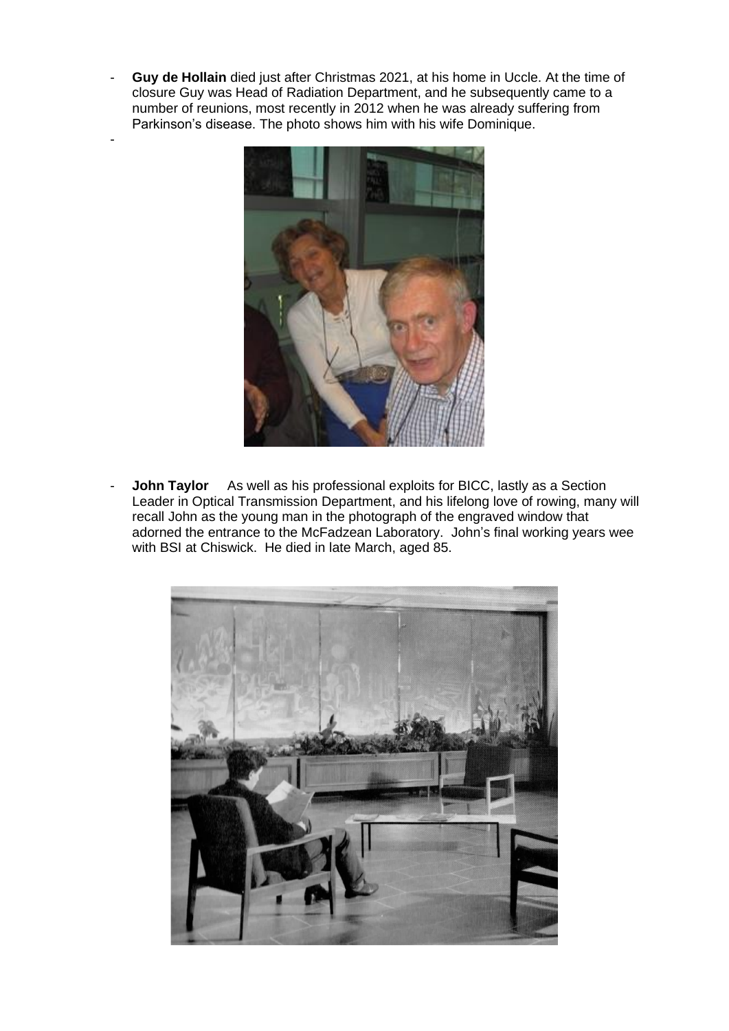- **Guy de Hollain** died just after Christmas 2021, at his home in Uccle. At the time of closure Guy was Head of Radiation Department, and he subsequently came to a number of reunions, most recently in 2012 when he was already suffering from Parkinson's disease. The photo shows him with his wife Dominique.

-



- **John Taylor** As well as his professional exploits for BICC, lastly as a Section Leader in Optical Transmission Department, and his lifelong love of rowing, many will recall John as the young man in the photograph of the engraved window that adorned the entrance to the McFadzean Laboratory. John's final working years wee with BSI at Chiswick. He died in late March, aged 85.

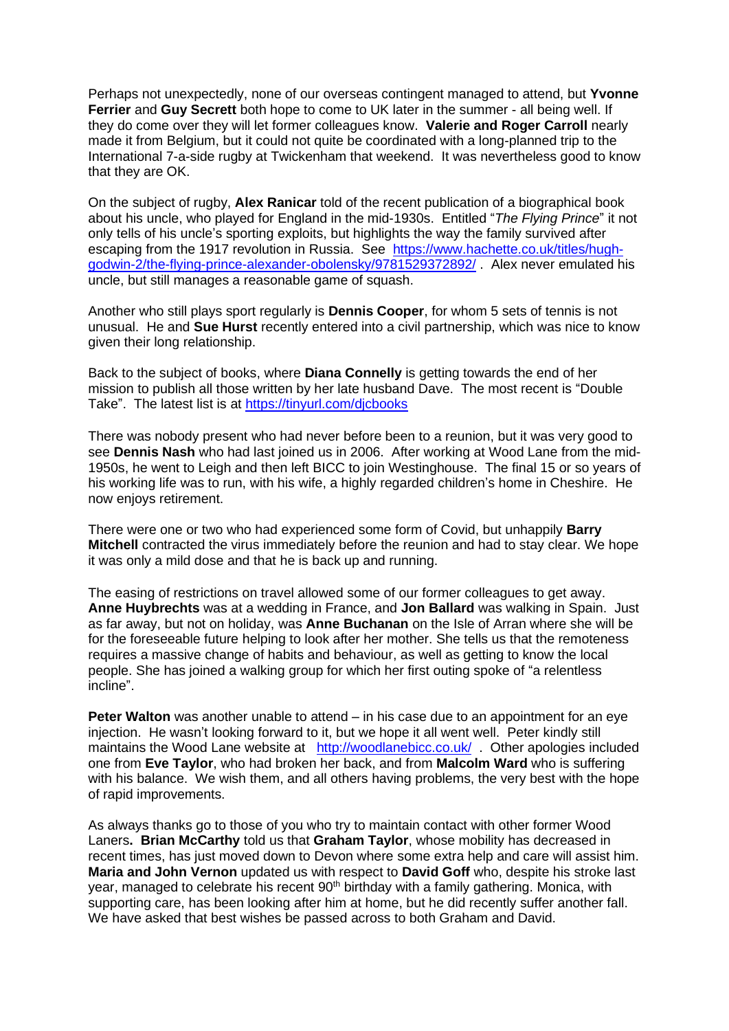Perhaps not unexpectedly, none of our overseas contingent managed to attend, but **Yvonne Ferrier** and **Guy Secrett** both hope to come to UK later in the summer - all being well. If they do come over they will let former colleagues know. **Valerie and Roger Carroll** nearly made it from Belgium, but it could not quite be coordinated with a long-planned trip to the International 7-a-side rugby at Twickenham that weekend. It was nevertheless good to know that they are OK.

On the subject of rugby, **Alex Ranicar** told of the recent publication of a biographical book about his uncle, who played for England in the mid-1930s. Entitled "*The Flying Prince*" it not only tells of his uncle's sporting exploits, but highlights the way the family survived after escaping from the 1917 revolution in Russia. See [https://www.hachette.co.uk/titles/hugh](https://www.hachette.co.uk/titles/hugh-godwin-2/the-flying-prince-alexander-obolensky/9781529372892/)[godwin-2/the-flying-prince-alexander-obolensky/9781529372892/](https://www.hachette.co.uk/titles/hugh-godwin-2/the-flying-prince-alexander-obolensky/9781529372892/) . Alex never emulated his uncle, but still manages a reasonable game of squash.

Another who still plays sport regularly is **Dennis Cooper**, for whom 5 sets of tennis is not unusual. He and **Sue Hurst** recently entered into a civil partnership, which was nice to know given their long relationship.

Back to the subject of books, where **Diana Connelly** is getting towards the end of her mission to publish all those written by her late husband Dave. The most recent is "Double Take". The latest list is at <https://tinyurl.com/djcbooks>

There was nobody present who had never before been to a reunion, but it was very good to see **Dennis Nash** who had last joined us in 2006. After working at Wood Lane from the mid-1950s, he went to Leigh and then left BICC to join Westinghouse. The final 15 or so years of his working life was to run, with his wife, a highly regarded children's home in Cheshire. He now enjoys retirement.

There were one or two who had experienced some form of Covid, but unhappily **Barry Mitchell** contracted the virus immediately before the reunion and had to stay clear. We hope it was only a mild dose and that he is back up and running.

The easing of restrictions on travel allowed some of our former colleagues to get away. **Anne Huybrechts** was at a wedding in France, and **Jon Ballard** was walking in Spain. Just as far away, but not on holiday, was **Anne Buchanan** on the Isle of Arran where she will be for the foreseeable future helping to look after her mother. She tells us that the remoteness requires a massive change of habits and behaviour, as well as getting to know the local people. She has joined a walking group for which her first outing spoke of "a relentless incline".

**Peter Walton** was another unable to attend – in his case due to an appointment for an eye injection. He wasn't looking forward to it, but we hope it all went well. Peter kindly still maintains the Wood Lane website at <http://woodlanebicc.co.uk/> . Other apologies included one from **Eve Taylor**, who had broken her back, and from **Malcolm Ward** who is suffering with his balance. We wish them, and all others having problems, the very best with the hope of rapid improvements.

As always thanks go to those of you who try to maintain contact with other former Wood Laners**. Brian McCarthy** told us that **Graham Taylor**, whose mobility has decreased in recent times, has just moved down to Devon where some extra help and care will assist him. **Maria and John Vernon** updated us with respect to **David Goff** who, despite his stroke last year, managed to celebrate his recent 90<sup>th</sup> birthday with a family gathering. Monica, with supporting care, has been looking after him at home, but he did recently suffer another fall. We have asked that best wishes be passed across to both Graham and David.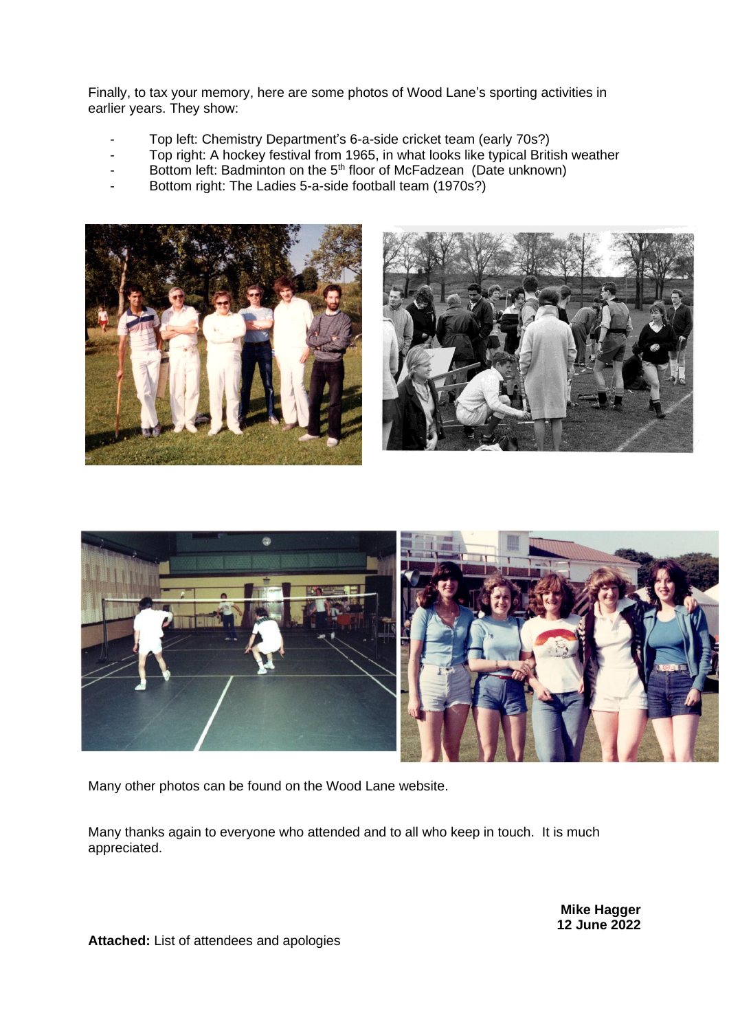Finally, to tax your memory, here are some photos of Wood Lane's sporting activities in earlier years. They show:

- Top left: Chemistry Department's 6-a-side cricket team (early 70s?)
- Top right: A hockey festival from 1965, in what looks like typical British weather
- Bottom left: Badminton on the 5<sup>th</sup> floor of McFadzean (Date unknown)
- Bottom right: The Ladies 5-a-side football team (1970s?)





Many other photos can be found on the Wood Lane website.

Many thanks again to everyone who attended and to all who keep in touch. It is much appreciated.

> **Mike Hagger 12 June 2022**

**Attached:** List of attendees and apologies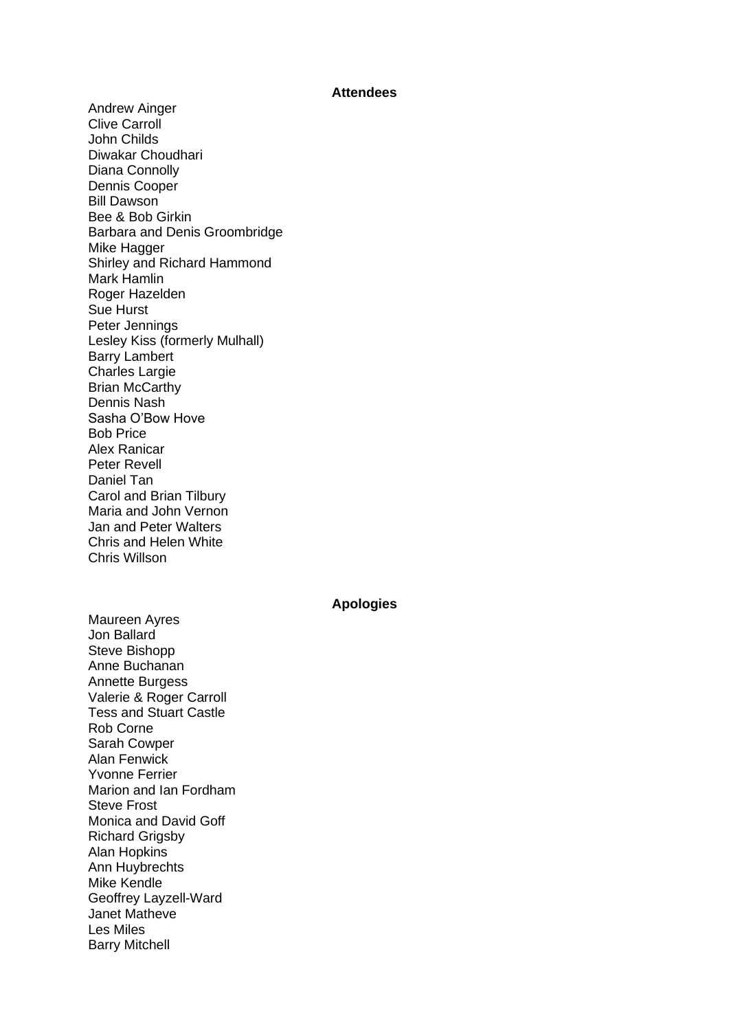## **Attendees**

Andrew Ainger Clive Carroll John Childs Diwakar Choudhari Diana Connolly Dennis Cooper Bill Dawson Bee & Bob Girkin Barbara and Denis Groombridge Mike Hagger Shirley and Richard Hammond Mark Hamlin Roger Hazelden Sue Hurst Peter Jennings Lesley Kiss (formerly Mulhall) Barry Lambert Charles Largie Brian McCarthy Dennis Nash Sasha O'Bow Hove Bob Price Alex Ranicar Peter Revell Daniel Tan Carol and Brian Tilbury Maria and John Vernon Jan and Peter Walters Chris and Helen White Chris Willson

## **Apologies**

Maureen Ayres Jon Ballard Steve Bishopp Anne Buchanan Annette Burgess Valerie & Roger Carroll Tess and Stuart Castle Rob Corne Sarah Cowper Alan Fenwick Yvonne Ferrier Marion and Ian Fordham Steve Frost Monica and David Goff Richard Grigsby Alan Hopkins Ann Huybrechts Mike Kendle Geoffrey Layzell-Ward Janet Matheve Les Miles Barry Mitchell